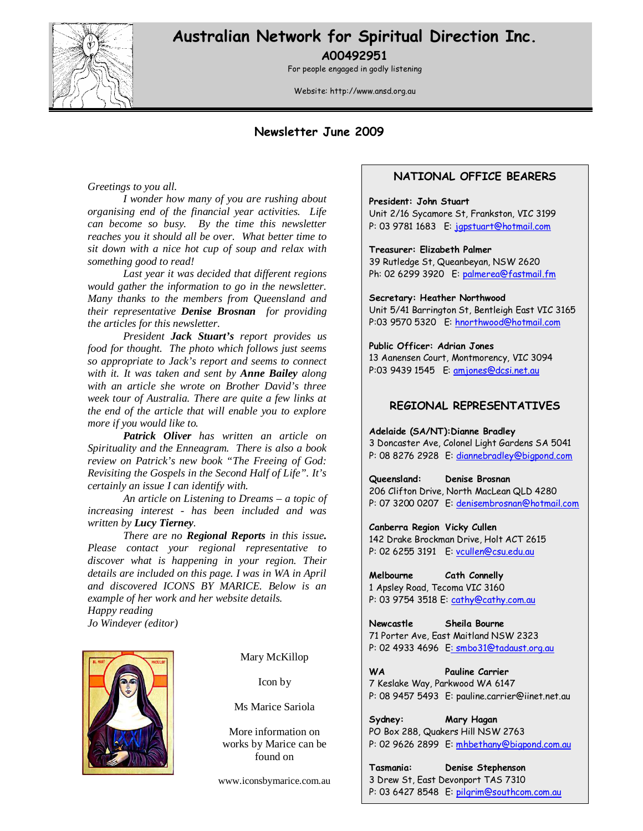

# Australian Network for Spiritual Direction Inc. A00492951

For people engaged in godly listening

Website: http://www.ansd.org.au

## Newsletter June 2009

*Greetings to you all.* 

*I wonder how many of you are rushing about organising end of the financial year activities. Life can become so busy. By the time this newsletter reaches you it should all be over. What better time to sit down with a nice hot cup of soup and relax with something good to read!* 

*Last year it was decided that different regions would gather the information to go in the newsletter. Many thanks to the members from Queensland and their representative Denise Brosnan for providing the articles for this newsletter.* 

*President Jack Stuart's report provides us food for thought. The photo which follows just seems so appropriate to Jack's report and seems to connect with it. It was taken and sent by Anne Bailey along with an article she wrote on Brother David's three week tour of Australia. There are quite a few links at the end of the article that will enable you to explore more if you would like to.* 

*Patrick Oliver has written an article on Spirituality and the Enneagram. There is also a book review on Patrick's new book "The Freeing of God: Revisiting the Gospels in the Second Half of Life". It's certainly an issue I can identify with.* 

 *An article on Listening to Dreams – a topic of increasing interest - has been included and was written by Lucy Tierney.* 

 *There are no Regional Reports in this issue. Please contact your regional representative to discover what is happening in your region. Their details are included on this page. I was in WA in April and discovered ICONS BY MARICE. Below is an example of her work and her website details. Happy reading* 





Mary McKillop

Icon by

Ms Marice Sariola

More information on works by Marice can be found on

www.iconsbymarice.com.au

### NATIONAL OFFICE BEARERS

#### President: John Stuart

Unit 2/16 Sycamore St, Frankston, VIC 3199 P: 03 9781 1683 E: jgpstuart@hotmail.com

#### Treasurer: Elizabeth Palmer

39 Rutledge St, Queanbeyan, NSW 2620 Ph: 02 6299 3920 E: palmerea@fastmail.fm

Secretary: Heather Northwood

Unit 5/41 Barrington St, Bentleigh East VIC 3165 P:03 9570 5320 E: hnorthwood@hotmail.com

Public Officer: Adrian Jones 13 Aanensen Court, Montmorency, VIC 3094 P:03 9439 1545 E: amjones@dcsi.net.au

### REGIONAL REPRESENTATIVES

Adelaide (SA/NT):Dianne Bradley

3 Doncaster Ave, Colonel Light Gardens SA 5041 P: 08 8276 2928 E: diannebradley@bigpond.com

Queensland: Denise Brosnan 206 Clifton Drive, North MacLean QLD 4280 P: 07 3200 0207 E: denisembrosnan@hotmail.com

Canberra Region Vicky Cullen 142 Drake Brockman Drive, Holt ACT 2615 P: 02 6255 3191 E: vcullen@csu.edu.au

Melbourne Cath Connelly 1 Apsley Road, Tecoma VIC 3160 P: 03 9754 3518 E: cathy@cathy.com.au

Newcastle Sheila Bourne 71 Porter Ave, East Maitland NSW 2323 P: 02 4933 4696 E: smbo31@tadaust.org.au

WA **Pauline Carrier** 7 Keslake Way, Parkwood WA 6147 P: 08 9457 5493 E: pauline.carrier@iinet.net.au

Sydney: Mary Hagan PO Box 288, Quakers Hill NSW 2763 P: 02 9626 2899 E: mhbethany@bigpond.com.au

Tasmania: Denise Stephenson 3 Drew St, East Devonport TAS 7310 P: 03 6427 8548 E: pilgrim@southcom.com.au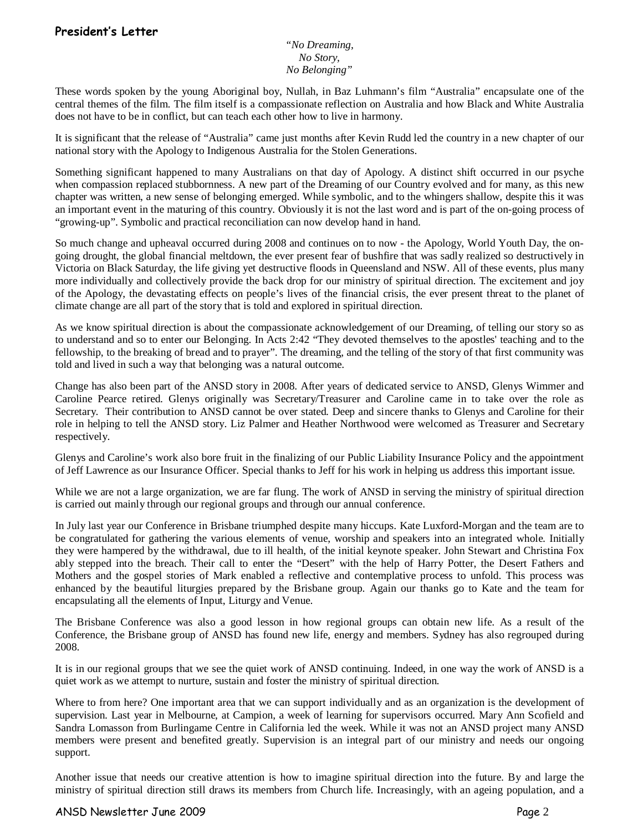### *"No Dreaming, No Story, No Belonging"*

These words spoken by the young Aboriginal boy, Nullah, in Baz Luhmann's film "Australia" encapsulate one of the central themes of the film. The film itself is a compassionate reflection on Australia and how Black and White Australia does not have to be in conflict, but can teach each other how to live in harmony.

It is significant that the release of "Australia" came just months after Kevin Rudd led the country in a new chapter of our national story with the Apology to Indigenous Australia for the Stolen Generations.

Something significant happened to many Australians on that day of Apology. A distinct shift occurred in our psyche when compassion replaced stubbornness. A new part of the Dreaming of our Country evolved and for many, as this new chapter was written, a new sense of belonging emerged. While symbolic, and to the whingers shallow, despite this it was an important event in the maturing of this country. Obviously it is not the last word and is part of the on-going process of "growing-up". Symbolic and practical reconciliation can now develop hand in hand.

So much change and upheaval occurred during 2008 and continues on to now - the Apology, World Youth Day, the ongoing drought, the global financial meltdown, the ever present fear of bushfire that was sadly realized so destructively in Victoria on Black Saturday, the life giving yet destructive floods in Queensland and NSW. All of these events, plus many more individually and collectively provide the back drop for our ministry of spiritual direction. The excitement and joy of the Apology, the devastating effects on people's lives of the financial crisis, the ever present threat to the planet of climate change are all part of the story that is told and explored in spiritual direction.

As we know spiritual direction is about the compassionate acknowledgement of our Dreaming, of telling our story so as to understand and so to enter our Belonging. In Acts 2:42 "They devoted themselves to the apostles' teaching and to the fellowship, to the breaking of bread and to prayer". The dreaming, and the telling of the story of that first community was told and lived in such a way that belonging was a natural outcome.

Change has also been part of the ANSD story in 2008. After years of dedicated service to ANSD, Glenys Wimmer and Caroline Pearce retired. Glenys originally was Secretary/Treasurer and Caroline came in to take over the role as Secretary. Their contribution to ANSD cannot be over stated. Deep and sincere thanks to Glenys and Caroline for their role in helping to tell the ANSD story. Liz Palmer and Heather Northwood were welcomed as Treasurer and Secretary respectively.

Glenys and Caroline's work also bore fruit in the finalizing of our Public Liability Insurance Policy and the appointment of Jeff Lawrence as our Insurance Officer. Special thanks to Jeff for his work in helping us address this important issue.

While we are not a large organization, we are far flung. The work of ANSD in serving the ministry of spiritual direction is carried out mainly through our regional groups and through our annual conference.

In July last year our Conference in Brisbane triumphed despite many hiccups. Kate Luxford-Morgan and the team are to be congratulated for gathering the various elements of venue, worship and speakers into an integrated whole. Initially they were hampered by the withdrawal, due to ill health, of the initial keynote speaker. John Stewart and Christina Fox ably stepped into the breach. Their call to enter the "Desert" with the help of Harry Potter, the Desert Fathers and Mothers and the gospel stories of Mark enabled a reflective and contemplative process to unfold. This process was enhanced by the beautiful liturgies prepared by the Brisbane group. Again our thanks go to Kate and the team for encapsulating all the elements of Input, Liturgy and Venue.

The Brisbane Conference was also a good lesson in how regional groups can obtain new life. As a result of the Conference, the Brisbane group of ANSD has found new life, energy and members. Sydney has also regrouped during 2008.

It is in our regional groups that we see the quiet work of ANSD continuing. Indeed, in one way the work of ANSD is a quiet work as we attempt to nurture, sustain and foster the ministry of spiritual direction.

Where to from here? One important area that we can support individually and as an organization is the development of supervision. Last year in Melbourne, at Campion, a week of learning for supervisors occurred. Mary Ann Scofield and Sandra Lomasson from Burlingame Centre in California led the week. While it was not an ANSD project many ANSD members were present and benefited greatly. Supervision is an integral part of our ministry and needs our ongoing support.

Another issue that needs our creative attention is how to imagine spiritual direction into the future. By and large the ministry of spiritual direction still draws its members from Church life. Increasingly, with an ageing population, and a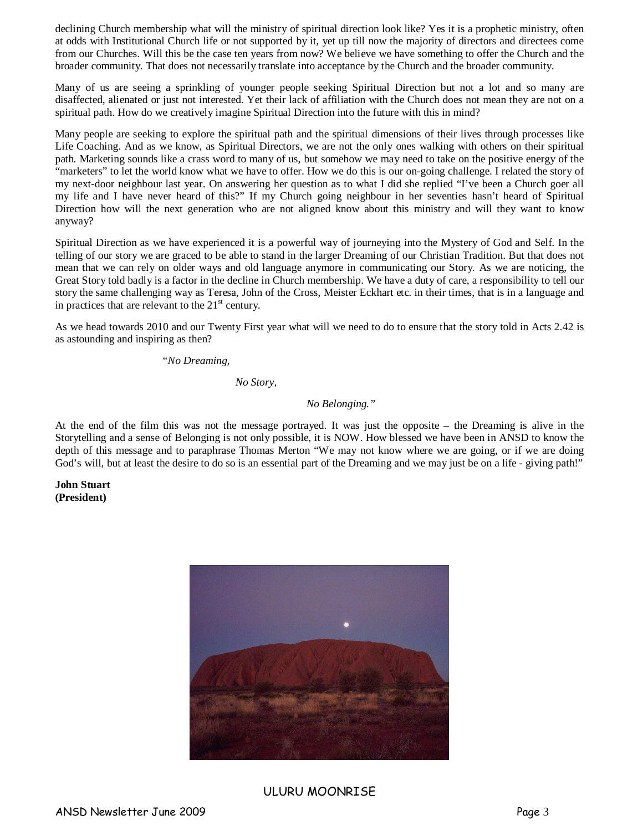declining Church membership what will the ministry of spiritual direction look like? Yes it is a prophetic ministry, often at odds with Institutional Church life or not supported by it, yet up till now the majority of directors and directees come from our Churches. Will this be the case ten years from now? We believe we have something to offer the Church and the broader community. That does not necessarily translate into acceptance by the Church and the broader community.

Many of us are seeing a sprinkling of younger people seeking Spiritual Direction but not a lot and so many are disaffected, alienated or just not interested. Yet their lack of affiliation with the Church does not mean they are not on a spiritual path. How do we creatively imagine Spiritual Direction into the future with this in mind?

Many people are seeking to explore the spiritual path and the spiritual dimensions of their lives through processes like Life Coaching. And as we know, as Spiritual Directors, we are not the only ones walking with others on their spiritual path. Marketing sounds like a crass word to many of us, but somehow we may need to take on the positive energy of the "marketers" to let the world know what we have to offer. How we do this is our on-going challenge. I related the story of my next-door neighbour last year. On answering her question as to what I did she replied "I've been a Church goer all my life and I have never heard of this?" If my Church going neighbour in her seventies hasn't heard of Spiritual Direction how will the next generation who are not aligned know about this ministry and will they want to know anyway?

Spiritual Direction as we have experienced it is a powerful way of journeying into the Mystery of God and Self. In the telling of our story we are graced to be able to stand in the larger Dreaming of our Christian Tradition. But that does not mean that we can rely on older ways and old language anymore in communicating our Story. As we are noticing, the Great Story told badly is a factor in the decline in Church membership. We have a duty of care, a responsibility to tell our story the same challenging way as Teresa, John of the Cross, Meister Eckhart etc. in their times, that is in a language and in practices that are relevant to the  $21<sup>st</sup>$  century.

As we head towards 2010 and our Twenty First year what will we need to do to ensure that the story told in Acts 2.42 is as astounding and inspiring as then?

*"No Dreaming,* 

 *No Story,* 

#### *No Belonging."*

At the end of the film this was not the message portrayed. It was just the opposite – the Dreaming is alive in the Storytelling and a sense of Belonging is not only possible, it is NOW. How blessed we have been in ANSD to know the depth of this message and to paraphrase Thomas Merton "We may not know where we are going, or if we are doing God's will, but at least the desire to do so is an essential part of the Dreaming and we may just be on a life - giving path!"

**John Stuart (President)** 



#### ULURU MOONRISE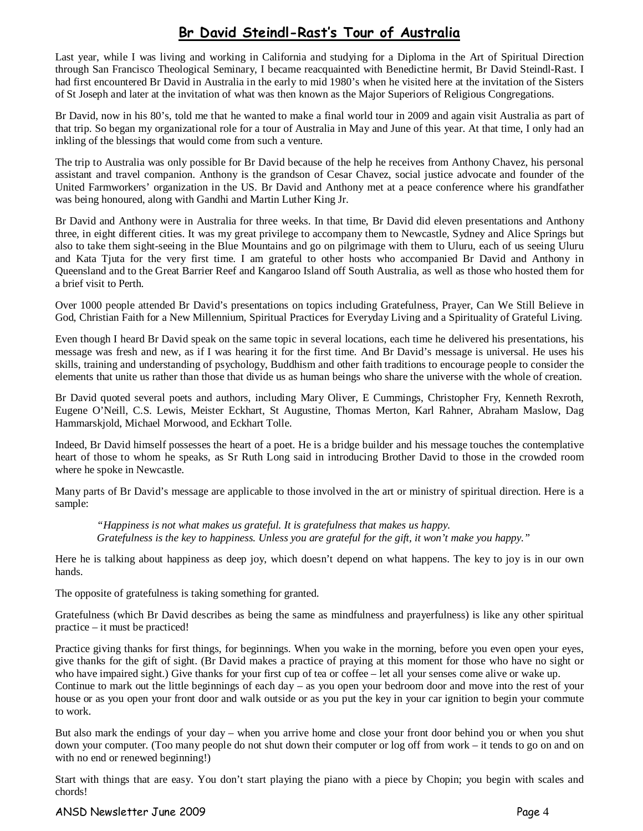# Br David Steindl-Rast's Tour of Australia

Last year, while I was living and working in California and studying for a Diploma in the Art of Spiritual Direction through San Francisco Theological Seminary, I became reacquainted with Benedictine hermit, Br David Steindl-Rast. I had first encountered Br David in Australia in the early to mid 1980's when he visited here at the invitation of the Sisters of St Joseph and later at the invitation of what was then known as the Major Superiors of Religious Congregations.

Br David, now in his 80's, told me that he wanted to make a final world tour in 2009 and again visit Australia as part of that trip. So began my organizational role for a tour of Australia in May and June of this year. At that time, I only had an inkling of the blessings that would come from such a venture.

The trip to Australia was only possible for Br David because of the help he receives from Anthony Chavez, his personal assistant and travel companion. Anthony is the grandson of Cesar Chavez, social justice advocate and founder of the United Farmworkers' organization in the US. Br David and Anthony met at a peace conference where his grandfather was being honoured, along with Gandhi and Martin Luther King Jr.

Br David and Anthony were in Australia for three weeks. In that time, Br David did eleven presentations and Anthony three, in eight different cities. It was my great privilege to accompany them to Newcastle, Sydney and Alice Springs but also to take them sight-seeing in the Blue Mountains and go on pilgrimage with them to Uluru, each of us seeing Uluru and Kata Tjuta for the very first time. I am grateful to other hosts who accompanied Br David and Anthony in Queensland and to the Great Barrier Reef and Kangaroo Island off South Australia, as well as those who hosted them for a brief visit to Perth.

Over 1000 people attended Br David's presentations on topics including Gratefulness, Prayer, Can We Still Believe in God, Christian Faith for a New Millennium, Spiritual Practices for Everyday Living and a Spirituality of Grateful Living.

Even though I heard Br David speak on the same topic in several locations, each time he delivered his presentations, his message was fresh and new, as if I was hearing it for the first time. And Br David's message is universal. He uses his skills, training and understanding of psychology, Buddhism and other faith traditions to encourage people to consider the elements that unite us rather than those that divide us as human beings who share the universe with the whole of creation.

Br David quoted several poets and authors, including Mary Oliver, E Cummings, Christopher Fry, Kenneth Rexroth, Eugene O'Neill, C.S. Lewis, Meister Eckhart, St Augustine, Thomas Merton, Karl Rahner, Abraham Maslow, Dag Hammarskjold, Michael Morwood, and Eckhart Tolle.

Indeed, Br David himself possesses the heart of a poet. He is a bridge builder and his message touches the contemplative heart of those to whom he speaks, as Sr Ruth Long said in introducing Brother David to those in the crowded room where he spoke in Newcastle.

Many parts of Br David's message are applicable to those involved in the art or ministry of spiritual direction. Here is a sample:

*"Happiness is not what makes us grateful. It is gratefulness that makes us happy. Gratefulness is the key to happiness. Unless you are grateful for the gift, it won't make you happy."* 

Here he is talking about happiness as deep joy, which doesn't depend on what happens. The key to joy is in our own hands.

The opposite of gratefulness is taking something for granted.

Gratefulness (which Br David describes as being the same as mindfulness and prayerfulness) is like any other spiritual practice – it must be practiced!

Practice giving thanks for first things, for beginnings. When you wake in the morning, before you even open your eyes, give thanks for the gift of sight. (Br David makes a practice of praying at this moment for those who have no sight or who have impaired sight.) Give thanks for your first cup of tea or coffee – let all your senses come alive or wake up. Continue to mark out the little beginnings of each day – as you open your bedroom door and move into the rest of your house or as you open your front door and walk outside or as you put the key in your car ignition to begin your commute to work.

But also mark the endings of your day – when you arrive home and close your front door behind you or when you shut down your computer. (Too many people do not shut down their computer or log off from work – it tends to go on and on with no end or renewed beginning!)

Start with things that are easy. You don't start playing the piano with a piece by Chopin; you begin with scales and chords!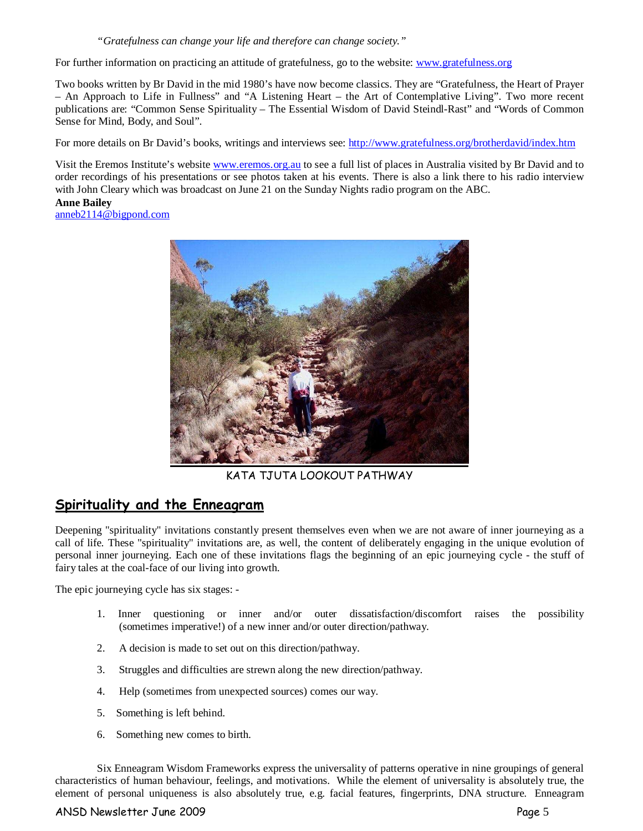*"Gratefulness can change your life and therefore can change society."* 

For further information on practicing an attitude of gratefulness, go to the website: www.gratefulness.org

Two books written by Br David in the mid 1980's have now become classics. They are "Gratefulness, the Heart of Prayer – An Approach to Life in Fullness" and "A Listening Heart – the Art of Contemplative Living". Two more recent publications are: "Common Sense Spirituality – The Essential Wisdom of David Steindl-Rast" and "Words of Common Sense for Mind, Body, and Soul".

For more details on Br David's books, writings and interviews see: http://www.gratefulness.org/brotherdavid/index.htm

Visit the Eremos Institute's website www.eremos.org.au to see a full list of places in Australia visited by Br David and to order recordings of his presentations or see photos taken at his events. There is also a link there to his radio interview with John Cleary which was broadcast on June 21 on the Sunday Nights radio program on the ABC.

**Anne Bailey**  anneb2114@bigpond.com



KATA TJUTA LOOKOUT PATHWAY

# Spirituality and the Enneagram

Deepening "spirituality" invitations constantly present themselves even when we are not aware of inner journeying as a call of life. These "spirituality" invitations are, as well, the content of deliberately engaging in the unique evolution of personal inner journeying. Each one of these invitations flags the beginning of an epic journeying cycle - the stuff of fairy tales at the coal-face of our living into growth.

The epic journeying cycle has six stages: -

- 1. Inner questioning or inner and/or outer dissatisfaction/discomfort raises the possibility (sometimes imperative!) of a new inner and/or outer direction/pathway.
- 2. A decision is made to set out on this direction/pathway.
- 3. Struggles and difficulties are strewn along the new direction/pathway.
- 4. Help (sometimes from unexpected sources) comes our way.
- 5. Something is left behind.
- 6. Something new comes to birth.

Six Enneagram Wisdom Frameworks express the universality of patterns operative in nine groupings of general characteristics of human behaviour, feelings, and motivations. While the element of universality is absolutely true, the element of personal uniqueness is also absolutely true, e.g. facial features, fingerprints, DNA structure. Enneagram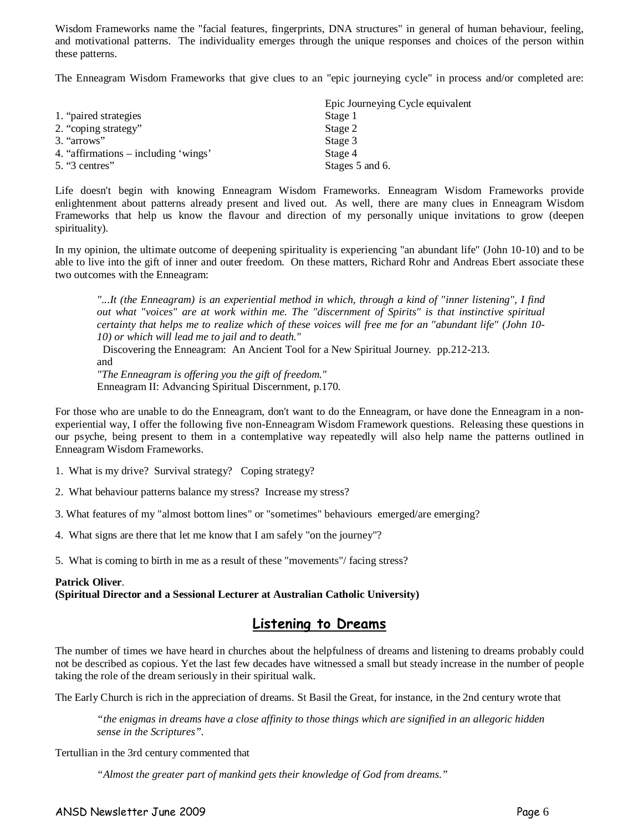Wisdom Frameworks name the "facial features, fingerprints, DNA structures" in general of human behaviour, feeling, and motivational patterns. The individuality emerges through the unique responses and choices of the person within these patterns.

The Enneagram Wisdom Frameworks that give clues to an "epic journeying cycle" in process and/or completed are:

|                                      | Epic Journeying Cycle equivalent |
|--------------------------------------|----------------------------------|
| 1. "paired strategies"               | Stage 1                          |
| 2. "coping strategy"                 | Stage 2                          |
| 3. "arrows"                          | Stage 3                          |
| 4. "affirmations – including 'wings' | Stage 4                          |
| $5.$ "3 centres"                     | Stages 5 and 6.                  |

Life doesn't begin with knowing Enneagram Wisdom Frameworks. Enneagram Wisdom Frameworks provide enlightenment about patterns already present and lived out. As well, there are many clues in Enneagram Wisdom Frameworks that help us know the flavour and direction of my personally unique invitations to grow (deepen spirituality).

In my opinion, the ultimate outcome of deepening spirituality is experiencing "an abundant life" (John 10-10) and to be able to live into the gift of inner and outer freedom. On these matters, Richard Rohr and Andreas Ebert associate these two outcomes with the Enneagram:

*"...It (the Enneagram) is an experiential method in which, through a kind of "inner listening", I find out what "voices" are at work within me. The "discernment of Spirits" is that instinctive spiritual certainty that helps me to realize which of these voices will free me for an "abundant life" (John 10- 10) or which will lead me to jail and to death."* 

 Discovering the Enneagram: An Ancient Tool for a New Spiritual Journey. pp.212-213. and

*"The Enneagram is offering you the gift of freedom."*

Enneagram II: Advancing Spiritual Discernment, p.170.

For those who are unable to do the Enneagram, don't want to do the Enneagram, or have done the Enneagram in a nonexperiential way, I offer the following five non-Enneagram Wisdom Framework questions. Releasing these questions in our psyche, being present to them in a contemplative way repeatedly will also help name the patterns outlined in Enneagram Wisdom Frameworks.

1. What is my drive? Survival strategy? Coping strategy?

2. What behaviour patterns balance my stress? Increase my stress?

3. What features of my "almost bottom lines" or "sometimes" behaviours emerged/are emerging?

4. What signs are there that let me know that I am safely "on the journey"?

5. What is coming to birth in me as a result of these "movements"/ facing stress?

#### **Patrick Oliver**.

**(Spiritual Director and a Sessional Lecturer at Australian Catholic University)** 

# Listening to Dreams

The number of times we have heard in churches about the helpfulness of dreams and listening to dreams probably could not be described as copious. Yet the last few decades have witnessed a small but steady increase in the number of people taking the role of the dream seriously in their spiritual walk.

The Early Church is rich in the appreciation of dreams. St Basil the Great, for instance, in the 2nd century wrote that

*"the enigmas in dreams have a close affinity to those things which are signified in an allegoric hidden sense in the Scriptures".* 

Tertullian in the 3rd century commented that

*"Almost the greater part of mankind gets their knowledge of God from dreams."*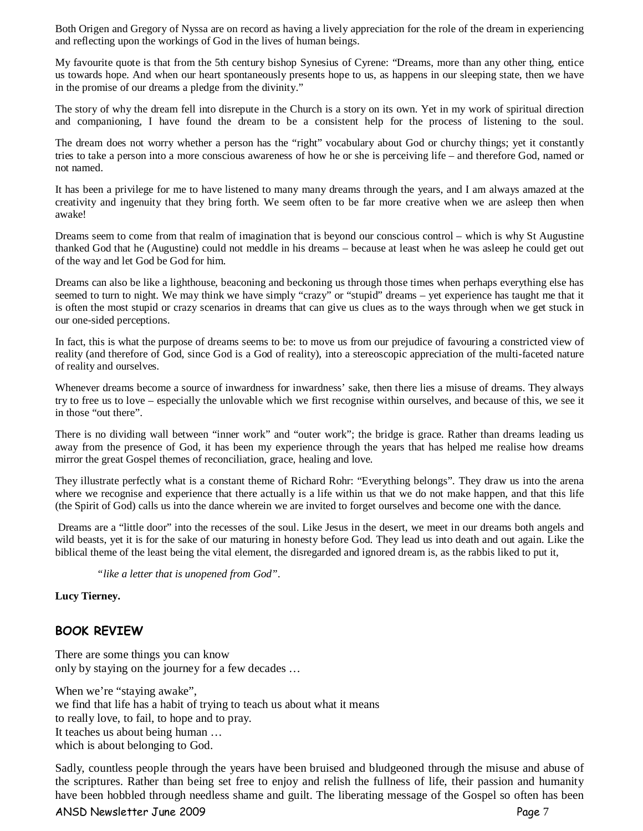Both Origen and Gregory of Nyssa are on record as having a lively appreciation for the role of the dream in experiencing and reflecting upon the workings of God in the lives of human beings.

My favourite quote is that from the 5th century bishop Synesius of Cyrene: "Dreams, more than any other thing, entice us towards hope. And when our heart spontaneously presents hope to us, as happens in our sleeping state, then we have in the promise of our dreams a pledge from the divinity."

The story of why the dream fell into disrepute in the Church is a story on its own. Yet in my work of spiritual direction and companioning, I have found the dream to be a consistent help for the process of listening to the soul.

The dream does not worry whether a person has the "right" vocabulary about God or churchy things; yet it constantly tries to take a person into a more conscious awareness of how he or she is perceiving life – and therefore God, named or not named.

It has been a privilege for me to have listened to many many dreams through the years, and I am always amazed at the creativity and ingenuity that they bring forth. We seem often to be far more creative when we are asleep then when awake!

Dreams seem to come from that realm of imagination that is beyond our conscious control – which is why St Augustine thanked God that he (Augustine) could not meddle in his dreams – because at least when he was asleep he could get out of the way and let God be God for him.

Dreams can also be like a lighthouse, beaconing and beckoning us through those times when perhaps everything else has seemed to turn to night. We may think we have simply "crazy" or "stupid" dreams – yet experience has taught me that it is often the most stupid or crazy scenarios in dreams that can give us clues as to the ways through when we get stuck in our one-sided perceptions.

In fact, this is what the purpose of dreams seems to be: to move us from our prejudice of favouring a constricted view of reality (and therefore of God, since God is a God of reality), into a stereoscopic appreciation of the multi-faceted nature of reality and ourselves.

Whenever dreams become a source of inwardness for inwardness' sake, then there lies a misuse of dreams. They always try to free us to love – especially the unlovable which we first recognise within ourselves, and because of this, we see it in those "out there".

There is no dividing wall between "inner work" and "outer work"; the bridge is grace. Rather than dreams leading us away from the presence of God, it has been my experience through the years that has helped me realise how dreams mirror the great Gospel themes of reconciliation, grace, healing and love.

They illustrate perfectly what is a constant theme of Richard Rohr: "Everything belongs". They draw us into the arena where we recognise and experience that there actually is a life within us that we do not make happen, and that this life (the Spirit of God) calls us into the dance wherein we are invited to forget ourselves and become one with the dance.

 Dreams are a "little door" into the recesses of the soul. Like Jesus in the desert, we meet in our dreams both angels and wild beasts, yet it is for the sake of our maturing in honesty before God. They lead us into death and out again. Like the biblical theme of the least being the vital element, the disregarded and ignored dream is, as the rabbis liked to put it,

*"like a letter that is unopened from God".* 

**Lucy Tierney.** 

## BOOK REVIEW

There are some things you can know only by staying on the journey for a few decades …

When we're "staying awake", we find that life has a habit of trying to teach us about what it means to really love, to fail, to hope and to pray. It teaches us about being human … which is about belonging to God.

Sadly, countless people through the years have been bruised and bludgeoned through the misuse and abuse of the scriptures. Rather than being set free to enjoy and relish the fullness of life, their passion and humanity have been hobbled through needless shame and guilt. The liberating message of the Gospel so often has been